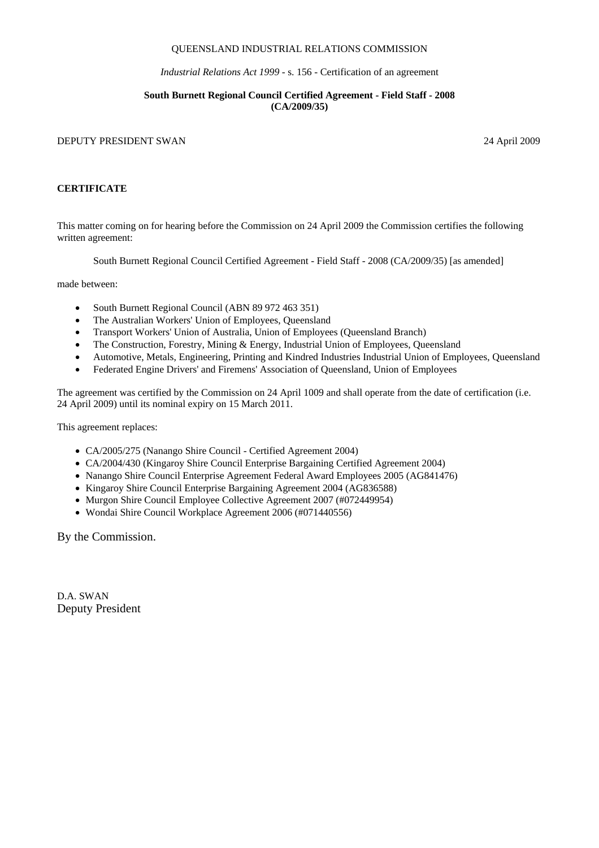## QUEENSLAND INDUSTRIAL RELATIONS COMMISSION

*Industrial Relations Act 1999 -* s. 156 - Certification of an agreement

## **South Burnett Regional Council Certified Agreement - Field Staff - 2008 (CA/2009/35)**

## DEPUTY PRESIDENT SWAN 24 April 2009

## **CERTIFICATE**

This matter coming on for hearing before the Commission on 24 April 2009 the Commission certifies the following written agreement:

South Burnett Regional Council Certified Agreement - Field Staff - 2008 (CA/2009/35) [as amended]

made between:

- South Burnett Regional Council (ABN 89 972 463 351)
- The Australian Workers' Union of Employees, Queensland
- Transport Workers' Union of Australia, Union of Employees (Queensland Branch)
- The Construction, Forestry, Mining & Energy, Industrial Union of Employees, Queensland
- Automotive, Metals, Engineering, Printing and Kindred Industries Industrial Union of Employees, Queensland
- Federated Engine Drivers' and Firemens' Association of Queensland, Union of Employees

The agreement was certified by the Commission on 24 April 1009 and shall operate from the date of certification (i.e. 24 April 2009) until its nominal expiry on 15 March 2011.

This agreement replaces:

- CA/2005/275 (Nanango Shire Council Certified Agreement 2004)
- CA/2004/430 (Kingaroy Shire Council Enterprise Bargaining Certified Agreement 2004)
- Nanango Shire Council Enterprise Agreement Federal Award Employees 2005 (AG841476)
- Kingaroy Shire Council Enterprise Bargaining Agreement 2004 (AG836588)
- Murgon Shire Council Employee Collective Agreement 2007 (#072449954)
- Wondai Shire Council Workplace Agreement 2006 (#071440556)

By the Commission.

D.A. SWAN Deputy President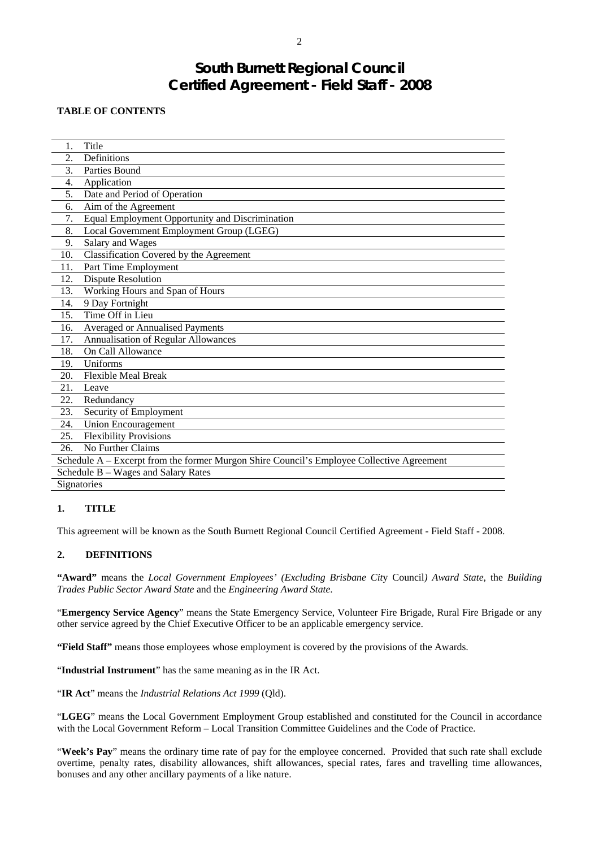# **South Burnett Regional Council Certified Agreement - Field Staff - 2008**

## **TABLE OF CONTENTS**

| 1.                                                                                        | Title                                           |  |  |  |
|-------------------------------------------------------------------------------------------|-------------------------------------------------|--|--|--|
| $\overline{2}$ .                                                                          | Definitions                                     |  |  |  |
| 3.                                                                                        | Parties Bound                                   |  |  |  |
| 4.                                                                                        | Application                                     |  |  |  |
| 5.                                                                                        | Date and Period of Operation                    |  |  |  |
| 6.                                                                                        | Aim of the Agreement                            |  |  |  |
| 7.                                                                                        | Equal Employment Opportunity and Discrimination |  |  |  |
| 8.                                                                                        | Local Government Employment Group (LGEG)        |  |  |  |
| 9.                                                                                        | Salary and Wages                                |  |  |  |
| 10.                                                                                       | Classification Covered by the Agreement         |  |  |  |
| 11.                                                                                       | Part Time Employment                            |  |  |  |
| 12.                                                                                       | <b>Dispute Resolution</b>                       |  |  |  |
| 13.                                                                                       | Working Hours and Span of Hours                 |  |  |  |
| 14.                                                                                       | 9 Day Fortnight                                 |  |  |  |
| 15.                                                                                       | Time Off in Lieu                                |  |  |  |
| 16.                                                                                       | Averaged or Annualised Payments                 |  |  |  |
| 17.                                                                                       | Annualisation of Regular Allowances             |  |  |  |
| 18.                                                                                       | On Call Allowance                               |  |  |  |
| 19.                                                                                       | Uniforms                                        |  |  |  |
| 20.                                                                                       | <b>Flexible Meal Break</b>                      |  |  |  |
| 21.                                                                                       | Leave                                           |  |  |  |
| 22.                                                                                       | Redundancy                                      |  |  |  |
| 23.                                                                                       | Security of Employment                          |  |  |  |
| 24.                                                                                       | <b>Union Encouragement</b>                      |  |  |  |
| 25.                                                                                       | <b>Flexibility Provisions</b>                   |  |  |  |
| 26.                                                                                       | No Further Claims                               |  |  |  |
| Schedule A – Excerpt from the former Murgon Shire Council's Employee Collective Agreement |                                                 |  |  |  |
| Schedule B - Wages and Salary Rates                                                       |                                                 |  |  |  |
|                                                                                           | Signatories                                     |  |  |  |

## **1. TITLE**

This agreement will be known as the South Burnett Regional Council Certified Agreement - Field Staff - 2008.

## **2. DEFINITIONS**

**"Award"** means the *Local Government Employees' (Excluding Brisbane Cit*y Council*) Award State*, the *Building Trades Public Sector Award State* and the *Engineering Award State*.

"**Emergency Service Agency**" means the State Emergency Service, Volunteer Fire Brigade, Rural Fire Brigade or any other service agreed by the Chief Executive Officer to be an applicable emergency service.

**"Field Staff"** means those employees whose employment is covered by the provisions of the Awards.

"**Industrial Instrument**" has the same meaning as in the IR Act.

"**IR Act**" means the *Industrial Relations Act 1999* (Qld).

"**LGEG**" means the Local Government Employment Group established and constituted for the Council in accordance with the Local Government Reform – Local Transition Committee Guidelines and the Code of Practice.

"Week's Pay" means the ordinary time rate of pay for the employee concerned. Provided that such rate shall exclude overtime, penalty rates, disability allowances, shift allowances, special rates, fares and travelling time allowances, bonuses and any other ancillary payments of a like nature.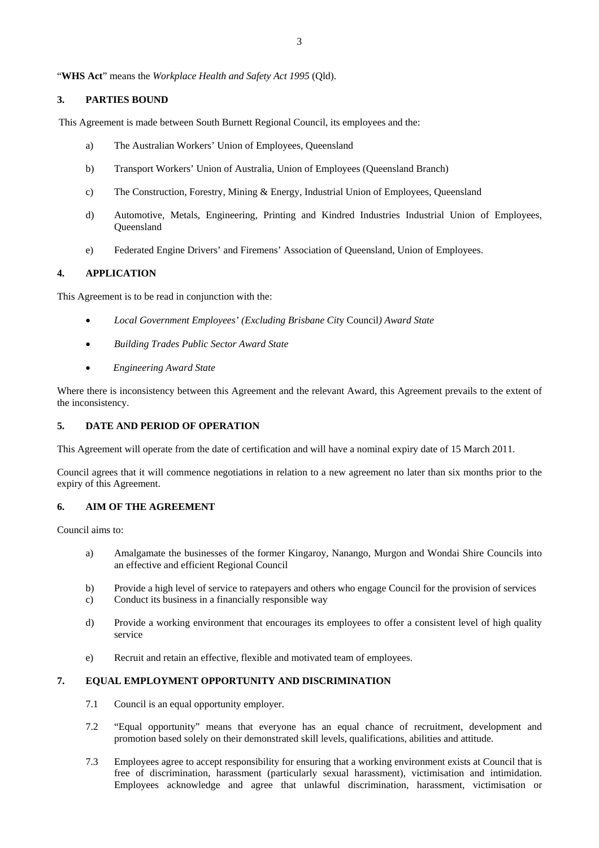"**WHS Act**" means the *Workplace Health and Safety Act 1995* (Qld).

## **3. PARTIES BOUND**

This Agreement is made between South Burnett Regional Council, its employees and the:

- a) The Australian Workers' Union of Employees, Queensland
- b) Transport Workers' Union of Australia, Union of Employees (Queensland Branch)
- c) The Construction, Forestry, Mining & Energy, Industrial Union of Employees, Queensland
- d) Automotive, Metals, Engineering, Printing and Kindred Industries Industrial Union of Employees, **Oueensland**
- e) Federated Engine Drivers' and Firemens' Association of Queensland, Union of Employees.

## **4. APPLICATION**

This Agreement is to be read in conjunction with the:

- *Local Government Employees' (Excluding Brisbane Cit*y Council*) Award State*
- *Building Trades Public Sector Award State*
- *Engineering Award State*

Where there is inconsistency between this Agreement and the relevant Award, this Agreement prevails to the extent of the inconsistency.

## **5. DATE AND PERIOD OF OPERATION**

This Agreement will operate from the date of certification and will have a nominal expiry date of 15 March 2011.

Council agrees that it will commence negotiations in relation to a new agreement no later than six months prior to the expiry of this Agreement.

## **6. AIM OF THE AGREEMENT**

Council aims to:

- a) Amalgamate the businesses of the former Kingaroy, Nanango, Murgon and Wondai Shire Councils into an effective and efficient Regional Council
- b) Provide a high level of service to ratepayers and others who engage Council for the provision of services
- c) Conduct its business in a financially responsible way
- d) Provide a working environment that encourages its employees to offer a consistent level of high quality service
- e) Recruit and retain an effective, flexible and motivated team of employees.

## **7. EQUAL EMPLOYMENT OPPORTUNITY AND DISCRIMINATION**

- 7.1 Council is an equal opportunity employer.
- 7.2 "Equal opportunity" means that everyone has an equal chance of recruitment, development and promotion based solely on their demonstrated skill levels, qualifications, abilities and attitude.
- 7.3 Employees agree to accept responsibility for ensuring that a working environment exists at Council that is free of discrimination, harassment (particularly sexual harassment), victimisation and intimidation. Employees acknowledge and agree that unlawful discrimination, harassment, victimisation or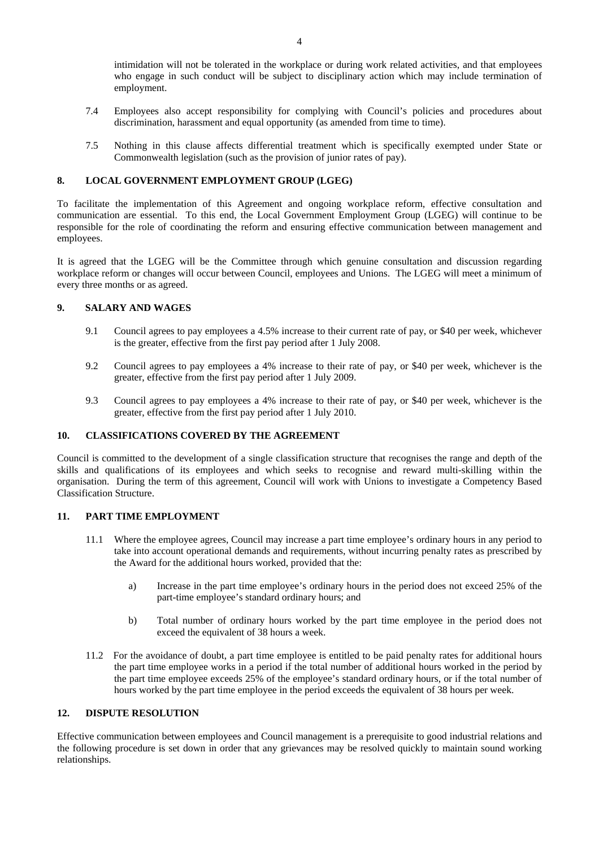intimidation will not be tolerated in the workplace or during work related activities, and that employees who engage in such conduct will be subject to disciplinary action which may include termination of employment.

- 7.4 Employees also accept responsibility for complying with Council's policies and procedures about discrimination, harassment and equal opportunity (as amended from time to time).
- 7.5 Nothing in this clause affects differential treatment which is specifically exempted under State or Commonwealth legislation (such as the provision of junior rates of pay).

## **8. LOCAL GOVERNMENT EMPLOYMENT GROUP (LGEG)**

To facilitate the implementation of this Agreement and ongoing workplace reform, effective consultation and communication are essential. To this end, the Local Government Employment Group (LGEG) will continue to be responsible for the role of coordinating the reform and ensuring effective communication between management and employees.

It is agreed that the LGEG will be the Committee through which genuine consultation and discussion regarding workplace reform or changes will occur between Council, employees and Unions. The LGEG will meet a minimum of every three months or as agreed.

## **9. SALARY AND WAGES**

- 9.1 Council agrees to pay employees a 4.5% increase to their current rate of pay, or \$40 per week, whichever is the greater, effective from the first pay period after 1 July 2008.
- 9.2 Council agrees to pay employees a 4% increase to their rate of pay, or \$40 per week, whichever is the greater, effective from the first pay period after 1 July 2009.
- 9.3 Council agrees to pay employees a 4% increase to their rate of pay, or \$40 per week, whichever is the greater, effective from the first pay period after 1 July 2010.

#### **10. CLASSIFICATIONS COVERED BY THE AGREEMENT**

Council is committed to the development of a single classification structure that recognises the range and depth of the skills and qualifications of its employees and which seeks to recognise and reward multi-skilling within the organisation. During the term of this agreement, Council will work with Unions to investigate a Competency Based Classification Structure.

#### **11. PART TIME EMPLOYMENT**

- 11.1 Where the employee agrees, Council may increase a part time employee's ordinary hours in any period to take into account operational demands and requirements, without incurring penalty rates as prescribed by the Award for the additional hours worked, provided that the:
	- a) Increase in the part time employee's ordinary hours in the period does not exceed 25% of the part-time employee's standard ordinary hours; and
	- b) Total number of ordinary hours worked by the part time employee in the period does not exceed the equivalent of 38 hours a week.
- 11.2 For the avoidance of doubt, a part time employee is entitled to be paid penalty rates for additional hours the part time employee works in a period if the total number of additional hours worked in the period by the part time employee exceeds 25% of the employee's standard ordinary hours, or if the total number of hours worked by the part time employee in the period exceeds the equivalent of 38 hours per week.

## **12. DISPUTE RESOLUTION**

Effective communication between employees and Council management is a prerequisite to good industrial relations and the following procedure is set down in order that any grievances may be resolved quickly to maintain sound working relationships.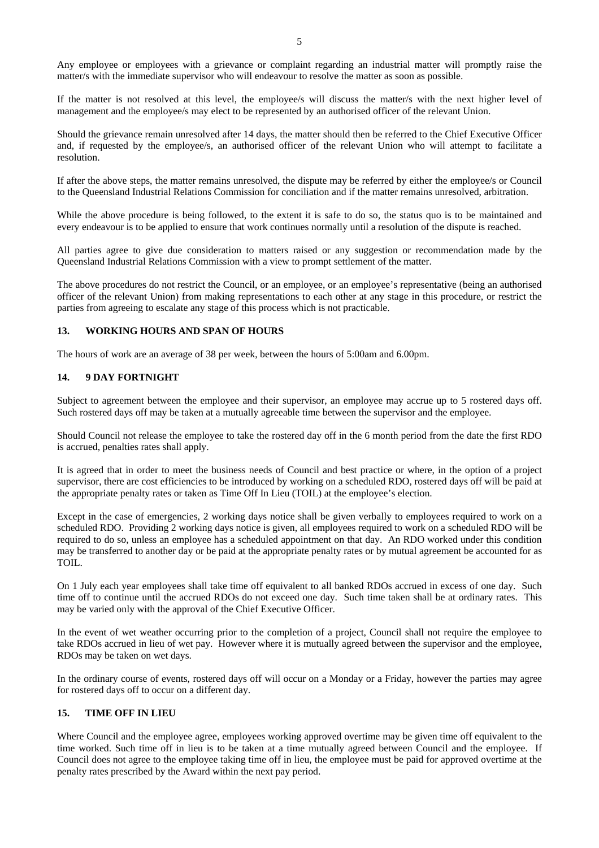Any employee or employees with a grievance or complaint regarding an industrial matter will promptly raise the matter/s with the immediate supervisor who will endeavour to resolve the matter as soon as possible.

If the matter is not resolved at this level, the employee/s will discuss the matter/s with the next higher level of management and the employee/s may elect to be represented by an authorised officer of the relevant Union.

Should the grievance remain unresolved after 14 days, the matter should then be referred to the Chief Executive Officer and, if requested by the employee/s, an authorised officer of the relevant Union who will attempt to facilitate a resolution.

If after the above steps, the matter remains unresolved, the dispute may be referred by either the employee/s or Council to the Queensland Industrial Relations Commission for conciliation and if the matter remains unresolved, arbitration.

While the above procedure is being followed, to the extent it is safe to do so, the status quo is to be maintained and every endeavour is to be applied to ensure that work continues normally until a resolution of the dispute is reached.

All parties agree to give due consideration to matters raised or any suggestion or recommendation made by the Queensland Industrial Relations Commission with a view to prompt settlement of the matter.

The above procedures do not restrict the Council, or an employee, or an employee's representative (being an authorised officer of the relevant Union) from making representations to each other at any stage in this procedure, or restrict the parties from agreeing to escalate any stage of this process which is not practicable.

## **13. WORKING HOURS AND SPAN OF HOURS**

The hours of work are an average of 38 per week, between the hours of 5:00am and 6.00pm.

## **14. 9 DAY FORTNIGHT**

Subject to agreement between the employee and their supervisor, an employee may accrue up to 5 rostered days off. Such rostered days off may be taken at a mutually agreeable time between the supervisor and the employee.

Should Council not release the employee to take the rostered day off in the 6 month period from the date the first RDO is accrued, penalties rates shall apply.

It is agreed that in order to meet the business needs of Council and best practice or where, in the option of a project supervisor, there are cost efficiencies to be introduced by working on a scheduled RDO, rostered days off will be paid at the appropriate penalty rates or taken as Time Off In Lieu (TOIL) at the employee's election.

Except in the case of emergencies, 2 working days notice shall be given verbally to employees required to work on a scheduled RDO. Providing 2 working days notice is given, all employees required to work on a scheduled RDO will be required to do so, unless an employee has a scheduled appointment on that day. An RDO worked under this condition may be transferred to another day or be paid at the appropriate penalty rates or by mutual agreement be accounted for as TOIL.

On 1 July each year employees shall take time off equivalent to all banked RDOs accrued in excess of one day. Such time off to continue until the accrued RDOs do not exceed one day. Such time taken shall be at ordinary rates. This may be varied only with the approval of the Chief Executive Officer.

In the event of wet weather occurring prior to the completion of a project, Council shall not require the employee to take RDOs accrued in lieu of wet pay. However where it is mutually agreed between the supervisor and the employee, RDOs may be taken on wet days.

In the ordinary course of events, rostered days off will occur on a Monday or a Friday, however the parties may agree for rostered days off to occur on a different day.

## **15. TIME OFF IN LIEU**

Where Council and the employee agree, employees working approved overtime may be given time off equivalent to the time worked. Such time off in lieu is to be taken at a time mutually agreed between Council and the employee. If Council does not agree to the employee taking time off in lieu, the employee must be paid for approved overtime at the penalty rates prescribed by the Award within the next pay period.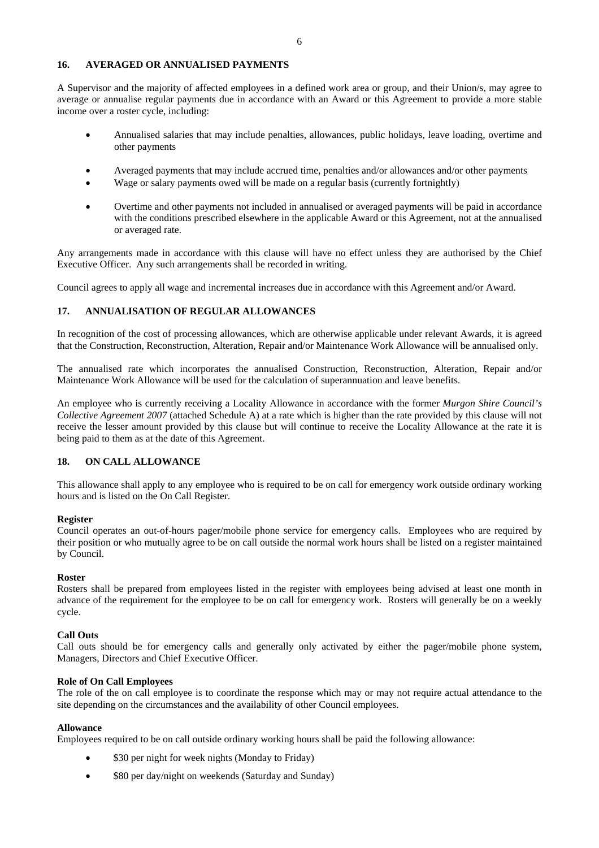## **16. AVERAGED OR ANNUALISED PAYMENTS**

A Supervisor and the majority of affected employees in a defined work area or group, and their Union/s, may agree to average or annualise regular payments due in accordance with an Award or this Agreement to provide a more stable income over a roster cycle, including:

- Annualised salaries that may include penalties, allowances, public holidays, leave loading, overtime and other payments
- Averaged payments that may include accrued time, penalties and/or allowances and/or other payments
- Wage or salary payments owed will be made on a regular basis (currently fortnightly)
- Overtime and other payments not included in annualised or averaged payments will be paid in accordance with the conditions prescribed elsewhere in the applicable Award or this Agreement, not at the annualised or averaged rate.

Any arrangements made in accordance with this clause will have no effect unless they are authorised by the Chief Executive Officer. Any such arrangements shall be recorded in writing.

Council agrees to apply all wage and incremental increases due in accordance with this Agreement and/or Award.

## **17. ANNUALISATION OF REGULAR ALLOWANCES**

In recognition of the cost of processing allowances, which are otherwise applicable under relevant Awards, it is agreed that the Construction, Reconstruction, Alteration, Repair and/or Maintenance Work Allowance will be annualised only.

The annualised rate which incorporates the annualised Construction, Reconstruction, Alteration, Repair and/or Maintenance Work Allowance will be used for the calculation of superannuation and leave benefits.

An employee who is currently receiving a Locality Allowance in accordance with the former *Murgon Shire Council's Collective Agreement 2007* (attached Schedule A) at a rate which is higher than the rate provided by this clause will not receive the lesser amount provided by this clause but will continue to receive the Locality Allowance at the rate it is being paid to them as at the date of this Agreement.

## **18. ON CALL ALLOWANCE**

This allowance shall apply to any employee who is required to be on call for emergency work outside ordinary working hours and is listed on the On Call Register.

#### **Register**

Council operates an out-of-hours pager/mobile phone service for emergency calls. Employees who are required by their position or who mutually agree to be on call outside the normal work hours shall be listed on a register maintained by Council.

#### **Roster**

Rosters shall be prepared from employees listed in the register with employees being advised at least one month in advance of the requirement for the employee to be on call for emergency work. Rosters will generally be on a weekly cycle.

#### **Call Outs**

Call outs should be for emergency calls and generally only activated by either the pager/mobile phone system, Managers, Directors and Chief Executive Officer.

### **Role of On Call Employees**

The role of the on call employee is to coordinate the response which may or may not require actual attendance to the site depending on the circumstances and the availability of other Council employees.

#### **Allowance**

Employees required to be on call outside ordinary working hours shall be paid the following allowance:

- \$30 per night for week nights (Monday to Friday)
- \$80 per day/night on weekends (Saturday and Sunday)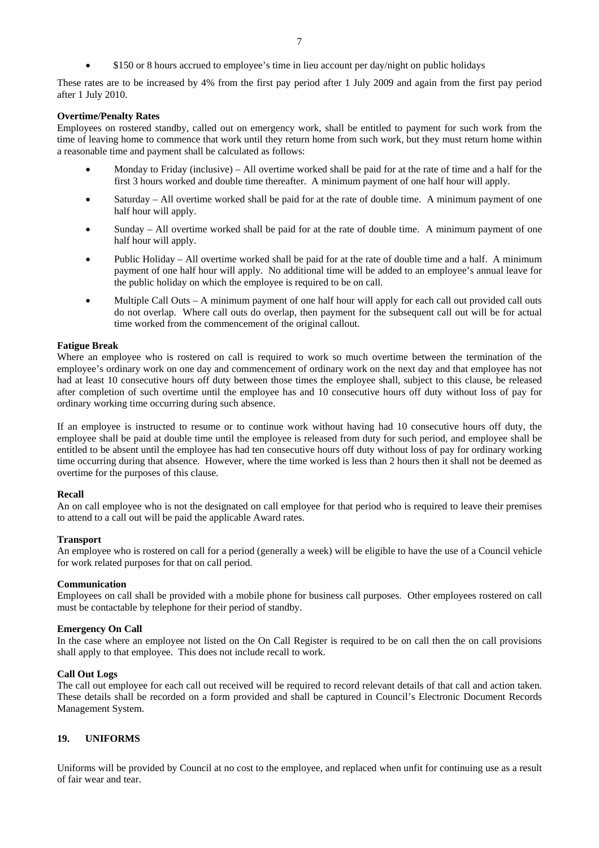• \$150 or 8 hours accrued to employee's time in lieu account per day/night on public holidays

These rates are to be increased by 4% from the first pay period after 1 July 2009 and again from the first pay period after 1 July 2010.

#### **Overtime/Penalty Rates**

Employees on rostered standby, called out on emergency work, shall be entitled to payment for such work from the time of leaving home to commence that work until they return home from such work, but they must return home within a reasonable time and payment shall be calculated as follows:

- Monday to Friday (inclusive) All overtime worked shall be paid for at the rate of time and a half for the first 3 hours worked and double time thereafter. A minimum payment of one half hour will apply.
- Saturday All overtime worked shall be paid for at the rate of double time. A minimum payment of one half hour will apply.
- Sunday  $-$  All overtime worked shall be paid for at the rate of double time. A minimum payment of one half hour will apply.
- Public Holiday All overtime worked shall be paid for at the rate of double time and a half. A minimum payment of one half hour will apply. No additional time will be added to an employee's annual leave for the public holiday on which the employee is required to be on call.
- Multiple Call Outs A minimum payment of one half hour will apply for each call out provided call outs do not overlap. Where call outs do overlap, then payment for the subsequent call out will be for actual time worked from the commencement of the original callout.

#### **Fatigue Break**

Where an employee who is rostered on call is required to work so much overtime between the termination of the employee's ordinary work on one day and commencement of ordinary work on the next day and that employee has not had at least 10 consecutive hours off duty between those times the employee shall, subject to this clause, be released after completion of such overtime until the employee has and 10 consecutive hours off duty without loss of pay for ordinary working time occurring during such absence.

If an employee is instructed to resume or to continue work without having had 10 consecutive hours off duty, the employee shall be paid at double time until the employee is released from duty for such period, and employee shall be entitled to be absent until the employee has had ten consecutive hours off duty without loss of pay for ordinary working time occurring during that absence. However, where the time worked is less than 2 hours then it shall not be deemed as overtime for the purposes of this clause.

#### **Recall**

An on call employee who is not the designated on call employee for that period who is required to leave their premises to attend to a call out will be paid the applicable Award rates.

#### **Transport**

An employee who is rostered on call for a period (generally a week) will be eligible to have the use of a Council vehicle for work related purposes for that on call period.

#### **Communication**

Employees on call shall be provided with a mobile phone for business call purposes. Other employees rostered on call must be contactable by telephone for their period of standby.

#### **Emergency On Call**

In the case where an employee not listed on the On Call Register is required to be on call then the on call provisions shall apply to that employee. This does not include recall to work.

#### **Call Out Logs**

The call out employee for each call out received will be required to record relevant details of that call and action taken. These details shall be recorded on a form provided and shall be captured in Council's Electronic Document Records Management System.

#### **19. UNIFORMS**

Uniforms will be provided by Council at no cost to the employee, and replaced when unfit for continuing use as a result of fair wear and tear.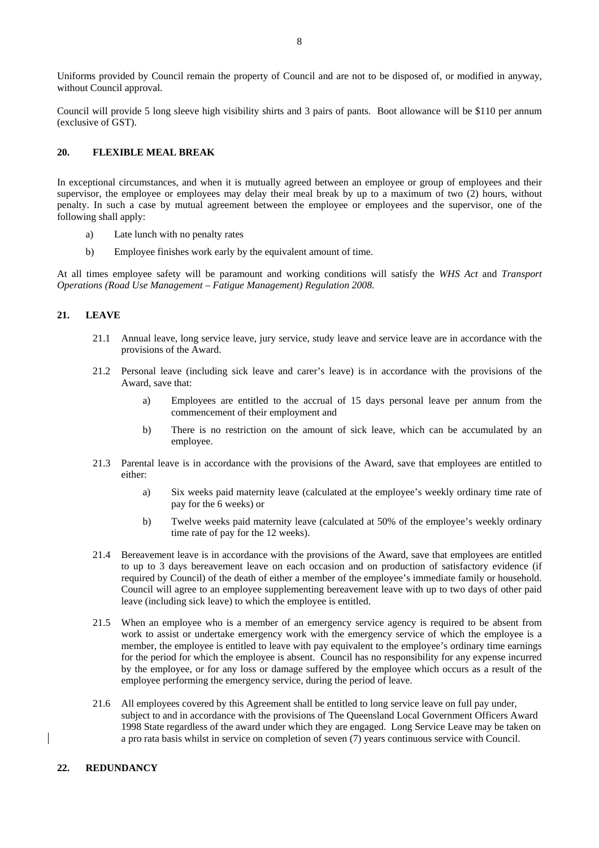Uniforms provided by Council remain the property of Council and are not to be disposed of, or modified in anyway, without Council approval.

Council will provide 5 long sleeve high visibility shirts and 3 pairs of pants. Boot allowance will be \$110 per annum (exclusive of GST).

## **20. FLEXIBLE MEAL BREAK**

In exceptional circumstances, and when it is mutually agreed between an employee or group of employees and their supervisor, the employee or employees may delay their meal break by up to a maximum of two (2) hours, without penalty. In such a case by mutual agreement between the employee or employees and the supervisor, one of the following shall apply:

- a) Late lunch with no penalty rates
- b) Employee finishes work early by the equivalent amount of time.

At all times employee safety will be paramount and working conditions will satisfy the *WHS Act* and *Transport Operations (Road Use Management – Fatigue Management) Regulation 2008*.

## **21. LEAVE**

- 21.1 Annual leave, long service leave, jury service, study leave and service leave are in accordance with the provisions of the Award.
- 21.2 Personal leave (including sick leave and carer's leave) is in accordance with the provisions of the Award, save that:
	- a) Employees are entitled to the accrual of 15 days personal leave per annum from the commencement of their employment and
	- b) There is no restriction on the amount of sick leave, which can be accumulated by an employee.
- 21.3 Parental leave is in accordance with the provisions of the Award, save that employees are entitled to either:
	- a) Six weeks paid maternity leave (calculated at the employee's weekly ordinary time rate of pay for the 6 weeks) or
	- b) Twelve weeks paid maternity leave (calculated at 50% of the employee's weekly ordinary time rate of pay for the 12 weeks).
- 21.4 Bereavement leave is in accordance with the provisions of the Award, save that employees are entitled to up to 3 days bereavement leave on each occasion and on production of satisfactory evidence (if required by Council) of the death of either a member of the employee's immediate family or household. Council will agree to an employee supplementing bereavement leave with up to two days of other paid leave (including sick leave) to which the employee is entitled.
- 21.5 When an employee who is a member of an emergency service agency is required to be absent from work to assist or undertake emergency work with the emergency service of which the employee is a member, the employee is entitled to leave with pay equivalent to the employee's ordinary time earnings for the period for which the employee is absent. Council has no responsibility for any expense incurred by the employee, or for any loss or damage suffered by the employee which occurs as a result of the employee performing the emergency service, during the period of leave.
- 21.6 All employees covered by this Agreement shall be entitled to long service leave on full pay under, subject to and in accordance with the provisions of The Queensland Local Government Officers Award 1998 State regardless of the award under which they are engaged. Long Service Leave may be taken on a pro rata basis whilst in service on completion of seven (7) years continuous service with Council.

#### **22. REDUNDANCY**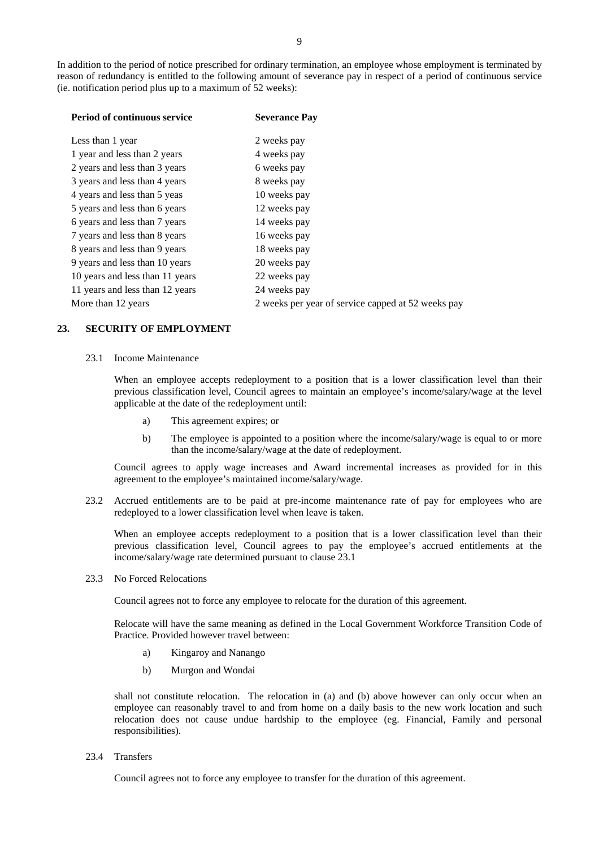| <b>Period of continuous service</b> | <b>Severance Pay</b>                               |
|-------------------------------------|----------------------------------------------------|
| Less than 1 year                    | 2 weeks pay                                        |
| 1 year and less than 2 years        | 4 weeks pay                                        |
| 2 years and less than 3 years       | 6 weeks pay                                        |
| 3 years and less than 4 years       | 8 weeks pay                                        |
| 4 years and less than 5 yeas        | 10 weeks pay                                       |
| 5 years and less than 6 years       | 12 weeks pay                                       |
| 6 years and less than 7 years       | 14 weeks pay                                       |
| 7 years and less than 8 years       | 16 weeks pay                                       |
| 8 years and less than 9 years       | 18 weeks pay                                       |
| 9 years and less than 10 years      | 20 weeks pay                                       |
| 10 years and less than 11 years     | 22 weeks pay                                       |
| 11 years and less than 12 years     | 24 weeks pay                                       |
| More than 12 years                  | 2 weeks per year of service capped at 52 weeks pay |

## **23. SECURITY OF EMPLOYMENT**

## 23.1 Income Maintenance

When an employee accepts redeployment to a position that is a lower classification level than their previous classification level, Council agrees to maintain an employee's income/salary/wage at the level applicable at the date of the redeployment until:

- a) This agreement expires; or
- b) The employee is appointed to a position where the income/salary/wage is equal to or more than the income/salary/wage at the date of redeployment.

Council agrees to apply wage increases and Award incremental increases as provided for in this agreement to the employee's maintained income/salary/wage.

23.2 Accrued entitlements are to be paid at pre-income maintenance rate of pay for employees who are redeployed to a lower classification level when leave is taken.

When an employee accepts redeployment to a position that is a lower classification level than their previous classification level, Council agrees to pay the employee's accrued entitlements at the income/salary/wage rate determined pursuant to clause 23.1

23.3 No Forced Relocations

Council agrees not to force any employee to relocate for the duration of this agreement.

Relocate will have the same meaning as defined in the Local Government Workforce Transition Code of Practice. Provided however travel between:

- a) Kingaroy and Nanango
- b) Murgon and Wondai

shall not constitute relocation. The relocation in (a) and (b) above however can only occur when an employee can reasonably travel to and from home on a daily basis to the new work location and such relocation does not cause undue hardship to the employee (eg. Financial, Family and personal responsibilities).

23.4 Transfers

Council agrees not to force any employee to transfer for the duration of this agreement.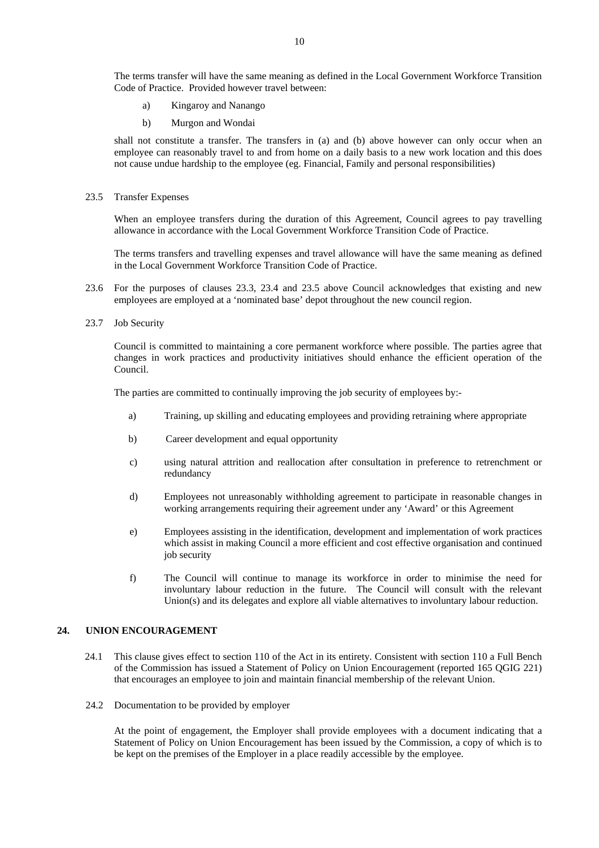The terms transfer will have the same meaning as defined in the Local Government Workforce Transition Code of Practice. Provided however travel between:

- a) Kingaroy and Nanango
- b) Murgon and Wondai

shall not constitute a transfer. The transfers in (a) and (b) above however can only occur when an employee can reasonably travel to and from home on a daily basis to a new work location and this does not cause undue hardship to the employee (eg. Financial, Family and personal responsibilities)

23.5 Transfer Expenses

 When an employee transfers during the duration of this Agreement, Council agrees to pay travelling allowance in accordance with the Local Government Workforce Transition Code of Practice.

 The terms transfers and travelling expenses and travel allowance will have the same meaning as defined in the Local Government Workforce Transition Code of Practice.

- 23.6 For the purposes of clauses 23.3, 23.4 and 23.5 above Council acknowledges that existing and new employees are employed at a 'nominated base' depot throughout the new council region.
- 23.7 Job Security

Council is committed to maintaining a core permanent workforce where possible. The parties agree that changes in work practices and productivity initiatives should enhance the efficient operation of the Council.

The parties are committed to continually improving the job security of employees by:-

- a) Training, up skilling and educating employees and providing retraining where appropriate
- b) Career development and equal opportunity
- c) using natural attrition and reallocation after consultation in preference to retrenchment or redundancy
- d) Employees not unreasonably withholding agreement to participate in reasonable changes in working arrangements requiring their agreement under any 'Award' or this Agreement
- e) Employees assisting in the identification, development and implementation of work practices which assist in making Council a more efficient and cost effective organisation and continued job security
- f) The Council will continue to manage its workforce in order to minimise the need for involuntary labour reduction in the future. The Council will consult with the relevant Union(s) and its delegates and explore all viable alternatives to involuntary labour reduction.

## **24. UNION ENCOURAGEMENT**

- 24.1 This clause gives effect to section 110 of the Act in its entirety. Consistent with section 110 a Full Bench of the Commission has issued a Statement of Policy on Union Encouragement (reported 165 QGIG 221) that encourages an employee to join and maintain financial membership of the relevant Union.
- 24.2 Documentation to be provided by employer

At the point of engagement, the Employer shall provide employees with a document indicating that a Statement of Policy on Union Encouragement has been issued by the Commission, a copy of which is to be kept on the premises of the Employer in a place readily accessible by the employee.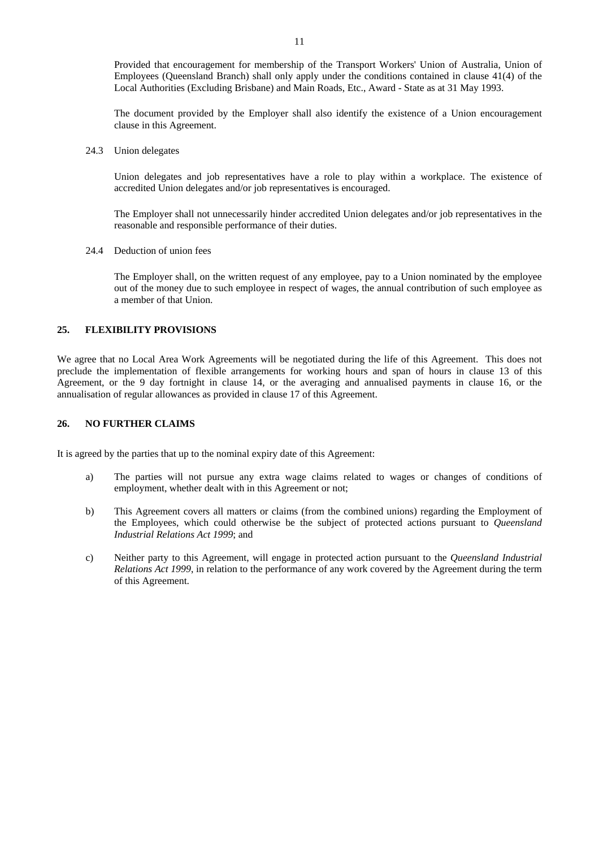Provided that encouragement for membership of the Transport Workers' Union of Australia, Union of Employees (Queensland Branch) shall only apply under the conditions contained in clause 41(4) of the Local Authorities (Excluding Brisbane) and Main Roads, Etc., Award - State as at 31 May 1993.

The document provided by the Employer shall also identify the existence of a Union encouragement clause in this Agreement.

24.3 Union delegates

Union delegates and job representatives have a role to play within a workplace. The existence of accredited Union delegates and/or job representatives is encouraged.

The Employer shall not unnecessarily hinder accredited Union delegates and/or job representatives in the reasonable and responsible performance of their duties.

24.4 Deduction of union fees

The Employer shall, on the written request of any employee, pay to a Union nominated by the employee out of the money due to such employee in respect of wages, the annual contribution of such employee as a member of that Union.

## **25. FLEXIBILITY PROVISIONS**

We agree that no Local Area Work Agreements will be negotiated during the life of this Agreement. This does not preclude the implementation of flexible arrangements for working hours and span of hours in clause 13 of this Agreement, or the 9 day fortnight in clause 14, or the averaging and annualised payments in clause 16, or the annualisation of regular allowances as provided in clause 17 of this Agreement.

## **26. NO FURTHER CLAIMS**

It is agreed by the parties that up to the nominal expiry date of this Agreement:

- a) The parties will not pursue any extra wage claims related to wages or changes of conditions of employment, whether dealt with in this Agreement or not;
- b) This Agreement covers all matters or claims (from the combined unions) regarding the Employment of the Employees, which could otherwise be the subject of protected actions pursuant to *Queensland Industrial Relations Act 1999*; and
- c) Neither party to this Agreement, will engage in protected action pursuant to the *Queensland Industrial Relations Act 1999*, in relation to the performance of any work covered by the Agreement during the term of this Agreement.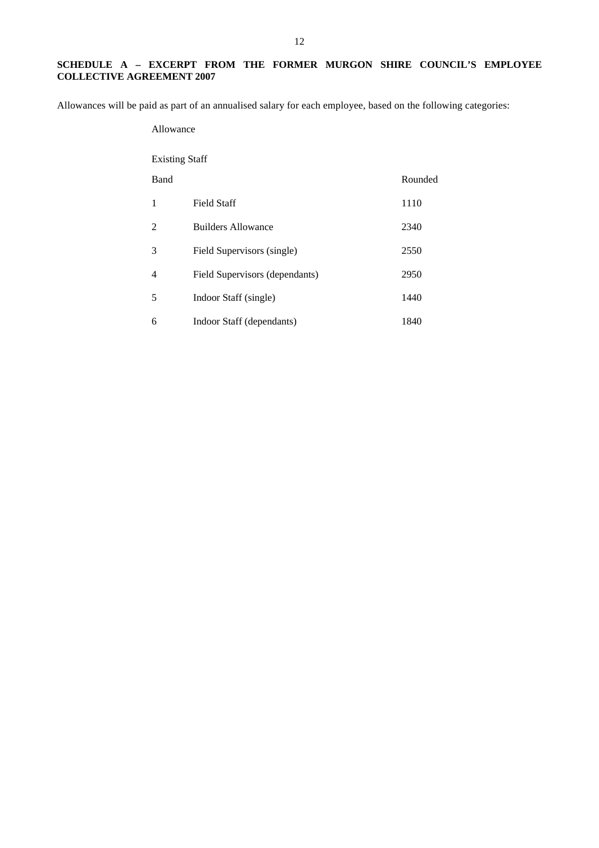## **SCHEDULE A – EXCERPT FROM THE FORMER MURGON SHIRE COUNCIL'S EMPLOYEE COLLECTIVE AGREEMENT 2007**

Allowances will be paid as part of an annualised salary for each employee, based on the following categories:

## Allowance

## Existing Staff

| Band           |                                | Rounded |
|----------------|--------------------------------|---------|
| 1              | <b>Field Staff</b>             | 1110    |
| 2              | <b>Builders Allowance</b>      | 2340    |
| 3              | Field Supervisors (single)     | 2550    |
| $\overline{4}$ | Field Supervisors (dependants) | 2950    |
| 5              | Indoor Staff (single)          | 1440    |
| 6              | Indoor Staff (dependants)      | 1840    |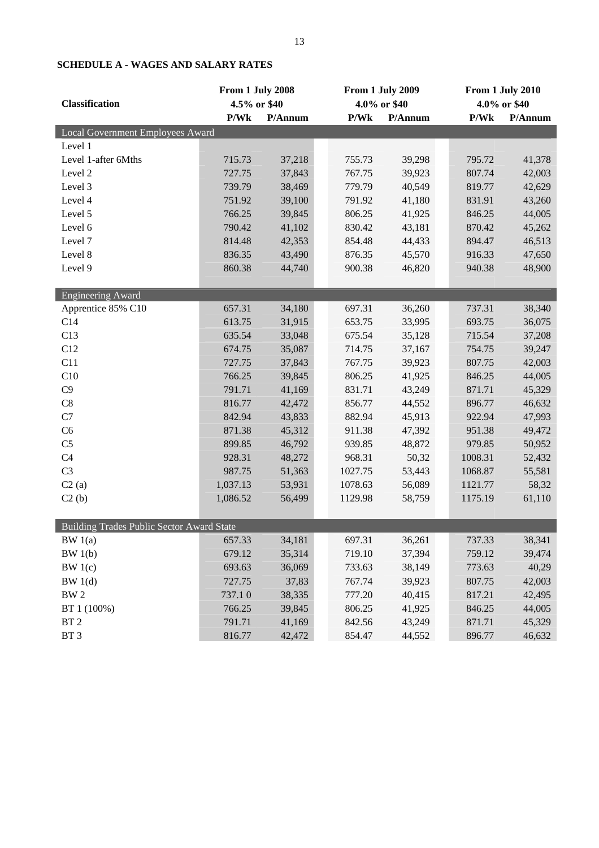|                                           | From 1 July 2008 |         |         | From 1 July 2009 |         | From 1 July 2010 |  |
|-------------------------------------------|------------------|---------|---------|------------------|---------|------------------|--|
| <b>Classification</b>                     | 4.5% or \$40     |         |         | 4.0% or \$40     |         | 4.0% or \$40     |  |
|                                           | P/Wk             | P/Annum | P/Wk    | P/Annum          | P/Wk    | P/Annum          |  |
| Local Government Employees Award          |                  |         |         |                  |         |                  |  |
| Level 1                                   |                  |         |         |                  |         |                  |  |
| Level 1-after 6Mths                       | 715.73           | 37,218  | 755.73  | 39,298           | 795.72  | 41,378           |  |
| Level 2                                   | 727.75           | 37,843  | 767.75  | 39,923           | 807.74  | 42,003           |  |
| Level 3                                   | 739.79           | 38,469  | 779.79  | 40,549           | 819.77  | 42,629           |  |
| Level 4                                   | 751.92           | 39,100  | 791.92  | 41,180           | 831.91  | 43,260           |  |
| Level 5                                   | 766.25           | 39,845  | 806.25  | 41,925           | 846.25  | 44,005           |  |
| Level 6                                   | 790.42           | 41,102  | 830.42  | 43,181           | 870.42  | 45,262           |  |
| Level 7                                   | 814.48           | 42,353  | 854.48  | 44,433           | 894.47  | 46,513           |  |
| Level 8                                   | 836.35           | 43,490  | 876.35  | 45,570           | 916.33  | 47,650           |  |
| Level 9                                   | 860.38           | 44,740  | 900.38  | 46,820           | 940.38  | 48,900           |  |
|                                           |                  |         |         |                  |         |                  |  |
| <b>Engineering Award</b>                  |                  |         |         |                  |         |                  |  |
| Apprentice 85% C10                        | 657.31           | 34,180  | 697.31  | 36,260           | 737.31  | 38,340           |  |
| C14                                       | 613.75           | 31,915  | 653.75  | 33,995           | 693.75  | 36,075           |  |
| C13                                       | 635.54           | 33,048  | 675.54  | 35,128           | 715.54  | 37,208           |  |
| C12                                       | 674.75           | 35,087  | 714.75  | 37,167           | 754.75  | 39,247           |  |
| C11                                       | 727.75           | 37,843  | 767.75  | 39,923           | 807.75  | 42,003           |  |
| C10                                       | 766.25           | 39,845  | 806.25  | 41,925           | 846.25  | 44,005           |  |
| C9                                        | 791.71           | 41,169  | 831.71  | 43,249           | 871.71  | 45,329           |  |
| $\mbox{C}8$                               | 816.77           | 42,472  | 856.77  | 44,552           | 896.77  | 46,632           |  |
| C7                                        | 842.94           | 43,833  | 882.94  | 45,913           | 922.94  | 47,993           |  |
| C6                                        | 871.38           | 45,312  | 911.38  | 47,392           | 951.38  | 49,472           |  |
| C <sub>5</sub>                            | 899.85           | 46,792  | 939.85  | 48,872           | 979.85  | 50,952           |  |
| C <sub>4</sub>                            | 928.31           | 48,272  | 968.31  | 50,32            | 1008.31 | 52,432           |  |
| C <sub>3</sub>                            | 987.75           | 51,363  | 1027.75 | 53,443           | 1068.87 | 55,581           |  |
| C2(a)                                     | 1,037.13         | 53,931  | 1078.63 | 56,089           | 1121.77 | 58,32            |  |
| C2(b)                                     | 1,086.52         | 56,499  | 1129.98 | 58,759           | 1175.19 | 61,110           |  |
|                                           |                  |         |         |                  |         |                  |  |
| Building Trades Public Sector Award State |                  |         |         |                  |         |                  |  |
| BW1(a)                                    | 657.33           | 34,181  | 697.31  | 36,261           | 737.33  | 38,341           |  |
| BW 1(b)                                   | 679.12           | 35,314  | 719.10  | 37,394           | 759.12  | 39,474           |  |
| BW1(c)                                    | 693.63           | 36,069  | 733.63  | 38,149           | 773.63  | 40,29            |  |
| BW1(d)                                    | 727.75           | 37,83   | 767.74  | 39,923           | 807.75  | 42,003           |  |
| BW <sub>2</sub>                           | 737.10           | 38,335  | 777.20  | 40,415           | 817.21  | 42,495           |  |
| BT 1 (100%)                               | 766.25           | 39,845  | 806.25  | 41,925           | 846.25  | 44,005           |  |
| BT <sub>2</sub>                           | 791.71           | 41,169  | 842.56  | 43,249           | 871.71  | 45,329           |  |
| BT <sub>3</sub>                           | 816.77           | 42,472  | 854.47  | 44,552           | 896.77  | 46,632           |  |

# **SCHEDULE A - WAGES AND SALARY RATES**